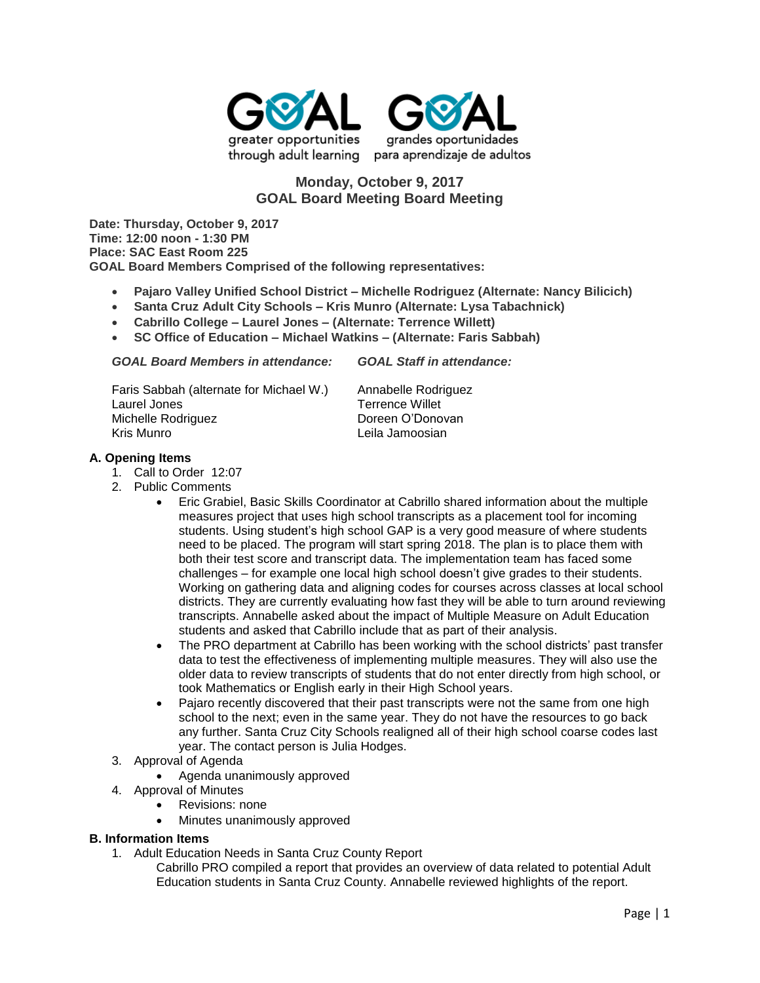



# **Monday, October 9, 2017 GOAL Board Meeting Board Meeting**

**Date: Thursday, October 9, 2017 Time: 12:00 noon - 1:30 PM Place: SAC East Room 225 GOAL Board Members Comprised of the following representatives:**

- **Pajaro Valley Unified School District – Michelle Rodriguez (Alternate: Nancy Bilicich)**
- **Santa Cruz Adult City Schools – Kris Munro (Alternate: Lysa Tabachnick)**
- **Cabrillo College – Laurel Jones – (Alternate: Terrence Willett)**
- **SC Office of Education – Michael Watkins – (Alternate: Faris Sabbah)**

| <b>GOAL Board Members in attendance:</b>                                      | <b>GOAL Staff in attendance:</b>                                  |
|-------------------------------------------------------------------------------|-------------------------------------------------------------------|
| Faris Sabbah (alternate for Michael W.)<br>Laurel Jones<br>Michelle Rodriguez | Annabelle Rodriguez<br><b>Terrence Willet</b><br>Doreen O'Donovan |
| Kris Munro                                                                    | Leila Jamoosian                                                   |

# **A. Opening Items**

- 1. Call to Order 12:07
- 2. Public Comments
	- Eric Grabiel, Basic Skills Coordinator at Cabrillo shared information about the multiple measures project that uses high school transcripts as a placement tool for incoming students. Using student's high school GAP is a very good measure of where students need to be placed. The program will start spring 2018. The plan is to place them with both their test score and transcript data. The implementation team has faced some challenges – for example one local high school doesn't give grades to their students. Working on gathering data and aligning codes for courses across classes at local school districts. They are currently evaluating how fast they will be able to turn around reviewing transcripts. Annabelle asked about the impact of Multiple Measure on Adult Education students and asked that Cabrillo include that as part of their analysis.
	- The PRO department at Cabrillo has been working with the school districts' past transfer data to test the effectiveness of implementing multiple measures. They will also use the older data to review transcripts of students that do not enter directly from high school, or took Mathematics or English early in their High School years.
	- Pajaro recently discovered that their past transcripts were not the same from one high school to the next; even in the same year. They do not have the resources to go back any further. Santa Cruz City Schools realigned all of their high school coarse codes last year. The contact person is Julia Hodges.
- 3. Approval of Agenda
	- Agenda unanimously approved
- 4. Approval of Minutes
	- Revisions: none
	- Minutes unanimously approved

#### **B. Information Items**

1. Adult Education Needs in Santa Cruz County Report

Cabrillo PRO compiled a report that provides an overview of data related to potential Adult Education students in Santa Cruz County. Annabelle reviewed highlights of the report.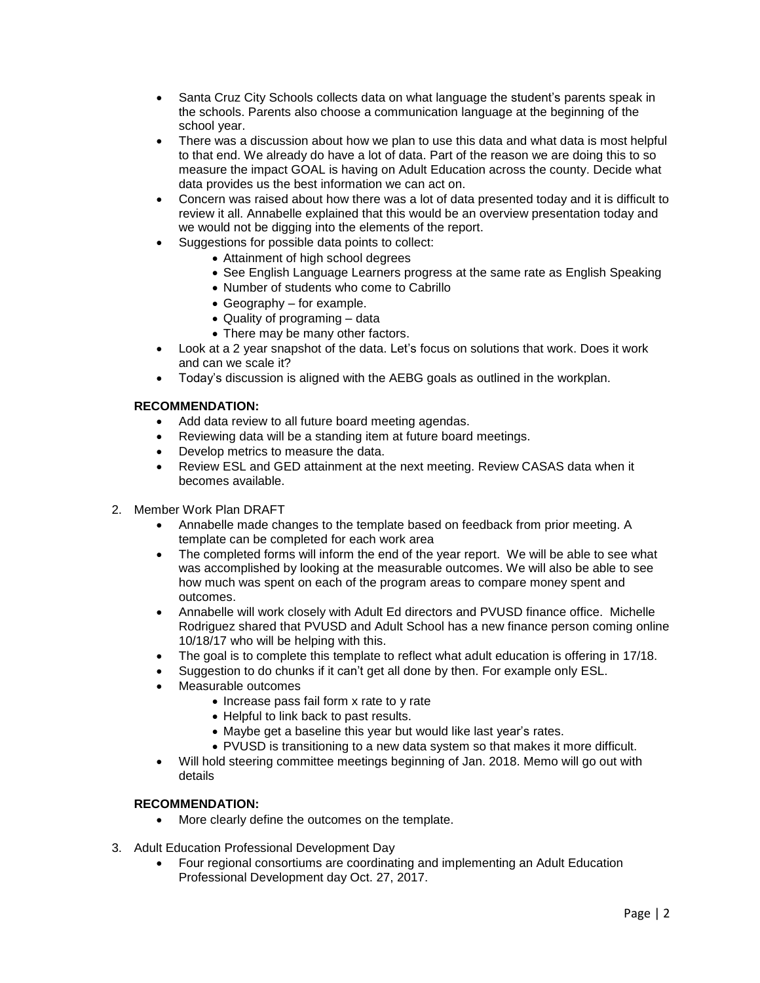- Santa Cruz City Schools collects data on what language the student's parents speak in the schools. Parents also choose a communication language at the beginning of the school year.
- There was a discussion about how we plan to use this data and what data is most helpful to that end. We already do have a lot of data. Part of the reason we are doing this to so measure the impact GOAL is having on Adult Education across the county. Decide what data provides us the best information we can act on.
- Concern was raised about how there was a lot of data presented today and it is difficult to review it all. Annabelle explained that this would be an overview presentation today and we would not be digging into the elements of the report.
- Suggestions for possible data points to collect:
	- Attainment of high school degrees
	- See English Language Learners progress at the same rate as English Speaking
	- Number of students who come to Cabrillo
	- Geography for example.
	- Quality of programing data
	- There may be many other factors.
- Look at a 2 year snapshot of the data. Let's focus on solutions that work. Does it work and can we scale it?
- Today's discussion is aligned with the AEBG goals as outlined in the workplan.

## **RECOMMENDATION:**

- Add data review to all future board meeting agendas.
- Reviewing data will be a standing item at future board meetings.
- Develop metrics to measure the data.
- Review ESL and GED attainment at the next meeting. Review CASAS data when it becomes available.
- 2. Member Work Plan DRAFT
	- Annabelle made changes to the template based on feedback from prior meeting. A template can be completed for each work area
	- The completed forms will inform the end of the year report. We will be able to see what was accomplished by looking at the measurable outcomes. We will also be able to see how much was spent on each of the program areas to compare money spent and outcomes.
	- Annabelle will work closely with Adult Ed directors and PVUSD finance office. Michelle Rodriguez shared that PVUSD and Adult School has a new finance person coming online 10/18/17 who will be helping with this.
	- The goal is to complete this template to reflect what adult education is offering in 17/18.
	- Suggestion to do chunks if it can't get all done by then. For example only ESL.
	- Measurable outcomes
		- Increase pass fail form x rate to y rate
		- Helpful to link back to past results.
		- Maybe get a baseline this year but would like last year's rates.
		- PVUSD is transitioning to a new data system so that makes it more difficult.
	- Will hold steering committee meetings beginning of Jan. 2018. Memo will go out with details

## **RECOMMENDATION:**

- More clearly define the outcomes on the template.
- 3. Adult Education Professional Development Day
	- Four regional consortiums are coordinating and implementing an Adult Education Professional Development day Oct. 27, 2017.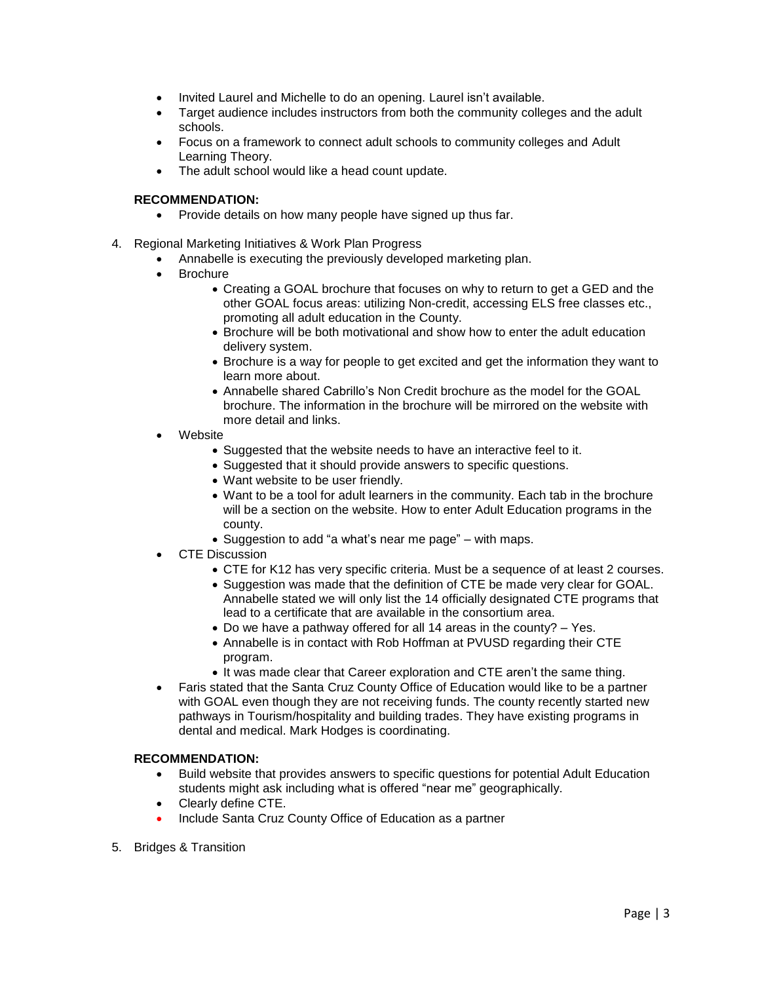- Invited Laurel and Michelle to do an opening. Laurel isn't available.
- Target audience includes instructors from both the community colleges and the adult schools.
- Focus on a framework to connect adult schools to community colleges and Adult Learning Theory.
- The adult school would like a head count update.

### **RECOMMENDATION:**

- Provide details on how many people have signed up thus far.
- 4. Regional Marketing Initiatives & Work Plan Progress
	- Annabelle is executing the previously developed marketing plan.
	- Brochure
		- Creating a GOAL brochure that focuses on why to return to get a GED and the other GOAL focus areas: utilizing Non-credit, accessing ELS free classes etc., promoting all adult education in the County.
		- Brochure will be both motivational and show how to enter the adult education delivery system.
		- Brochure is a way for people to get excited and get the information they want to learn more about.
		- Annabelle shared Cabrillo's Non Credit brochure as the model for the GOAL brochure. The information in the brochure will be mirrored on the website with more detail and links.
	- Website
		- Suggested that the website needs to have an interactive feel to it.
		- Suggested that it should provide answers to specific questions.
		- Want website to be user friendly.
		- Want to be a tool for adult learners in the community. Each tab in the brochure will be a section on the website. How to enter Adult Education programs in the county.
		- Suggestion to add "a what's near me page" with maps.
	- CTE Discussion
		- CTE for K12 has very specific criteria. Must be a sequence of at least 2 courses.
		- Suggestion was made that the definition of CTE be made very clear for GOAL. Annabelle stated we will only list the 14 officially designated CTE programs that lead to a certificate that are available in the consortium area.
		- Do we have a pathway offered for all 14 areas in the county? Yes.
		- Annabelle is in contact with Rob Hoffman at PVUSD regarding their CTE program.
		- It was made clear that Career exploration and CTE aren't the same thing.
	- Faris stated that the Santa Cruz County Office of Education would like to be a partner with GOAL even though they are not receiving funds. The county recently started new pathways in Tourism/hospitality and building trades. They have existing programs in dental and medical. Mark Hodges is coordinating.

#### **RECOMMENDATION:**

- Build website that provides answers to specific questions for potential Adult Education students might ask including what is offered "near me" geographically.
- Clearly define CTE.
- Include Santa Cruz County Office of Education as a partner
- 5. Bridges & Transition